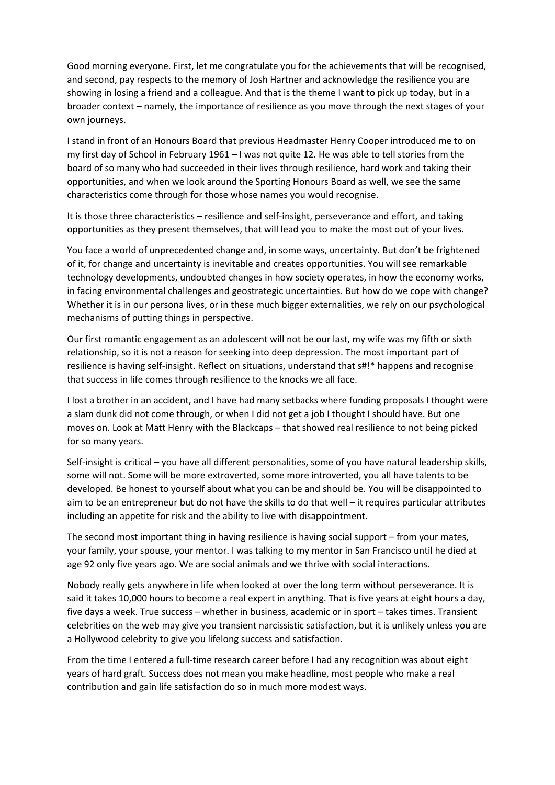Good morning everyone. First, let me congratulate you for the achievements that will be recognised, and second, pay respects to the memory of Josh Hartner and acknowledge the resilience you are showing in losing a friend and a colleague. And that is the theme I want to pick up today, but in a broader context – namely, the importance of resilience as you move through the next stages of your own journeys.

I stand in front of an Honours Board that previous Headmaster Henry Cooper introduced me to on my first day of School in February 1961 – I was not quite 12. He was able to tell stories from the board of so many who had succeeded in their lives through resilience, hard work and taking their opportunities, and when we look around the Sporting Honours Board as well, we see the same characteristics come through for those whose names you would recognise.

It is those three characteristics – resilience and self-insight, perseverance and effort, and taking opportunities as they present themselves, that will lead you to make the most out of your lives.

You face a world of unprecedented change and, in some ways, uncertainty. But don't be frightened of it, for change and uncertainty is inevitable and creates opportunities. You will see remarkable technology developments, undoubted changes in how society operates, in how the economy works, in facing environmental challenges and geostrategic uncertainties. But how do we cope with change? Whether it is in our persona lives, or in these much bigger externalities, we rely on our psychological mechanisms of putting things in perspective.

Our first romantic engagement as an adolescent will not be our last, my wife was my fifth or sixth relationship, so it is not a reason for seeking into deep depression. The most important part of resilience is having self-insight. Reflect on situations, understand that s#!\* happens and recognise that success in life comes through resilience to the knocks we all face.

I lost a brother in an accident, and I have had many setbacks where funding proposals I thought were a slam dunk did not come through, or when I did not get a job I thought I should have. But one moves on. Look at Matt Henry with the Blackcaps – that showed real resilience to not being picked for so many years.

Self-insight is critical – you have all different personalities, some of you have natural leadership skills, some will not. Some will be more extroverted, some more introverted, you all have talents to be developed. Be honest to yourself about what you can be and should be. You will be disappointed to aim to be an entrepreneur but do not have the skills to do that well – it requires particular attributes including an appetite for risk and the ability to live with disappointment.

The second most important thing in having resilience is having social support – from your mates, your family, your spouse, your mentor. I was talking to my mentor in San Francisco until he died at age 92 only five years ago. We are social animals and we thrive with social interactions.

Nobody really gets anywhere in life when looked at over the long term without perseverance. It is said it takes 10,000 hours to become a real expert in anything. That is five years at eight hours a day, five days a week. True success – whether in business, academic or in sport – takes times. Transient celebrities on the web may give you transient narcissistic satisfaction, but it is unlikely unless you are a Hollywood celebrity to give you lifelong success and satisfaction.

From the time I entered a full-time research career before I had any recognition was about eight years of hard graft. Success does not mean you make headline, most people who make a real contribution and gain life satisfaction do so in much more modest ways.